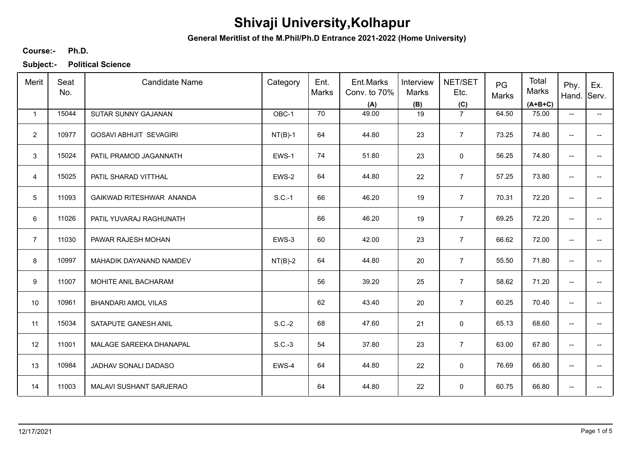**General Meritlist of the M.Phil/Ph.D Entrance 2021-2022 (Home University)**

### **Ph.D. Course:-**

| Merit          | Seat<br>No. | <b>Candidate Name</b>          | Category  | Ent.<br>Marks | Ent.Marks<br>Conv. to 70%<br>(A) | Interview<br>Marks<br>(B) | NET/SET<br>Etc.<br>(C) | PG<br>Marks | Total<br>Marks<br>$(A+B+C)$ | Phy.<br>Hand. Serv.      | Ex.                      |
|----------------|-------------|--------------------------------|-----------|---------------|----------------------------------|---------------------------|------------------------|-------------|-----------------------------|--------------------------|--------------------------|
| $\mathbf{1}$   | 15044       | SUTAR SUNNY GAJANAN            | OBC-1     | 70            | 49.00                            | 19                        | $\overline{7}$         | 64.50       | 75.00                       | $\overline{\phantom{a}}$ | $\overline{\phantom{0}}$ |
| $\overline{2}$ | 10977       | <b>GOSAVI ABHIJIT SEVAGIRI</b> | $NT(B)-1$ | 64            | 44.80                            | 23                        | $\overline{7}$         | 73.25       | 74.80                       | $\overline{\phantom{a}}$ | -−                       |
| 3              | 15024       | PATIL PRAMOD JAGANNATH         | EWS-1     | 74            | 51.80                            | 23                        | 0                      | 56.25       | 74.80                       | $\overline{\phantom{a}}$ | $- -$                    |
| $\overline{4}$ | 15025       | PATIL SHARAD VITTHAL           | EWS-2     | 64            | 44.80                            | 22                        | $\overline{7}$         | 57.25       | 73.80                       | $\overline{\phantom{a}}$ | -−                       |
| $5\,$          | 11093       | GAIKWAD RITESHWAR ANANDA       | $S.C.-1$  | 66            | 46.20                            | 19                        | $\overline{7}$         | 70.31       | 72.20                       | $\overline{\phantom{a}}$ | -−                       |
| 6              | 11026       | PATIL YUVARAJ RAGHUNATH        |           | 66            | 46.20                            | 19                        | $\overline{7}$         | 69.25       | 72.20                       | $\overline{\phantom{a}}$ | ÷                        |
| $\overline{7}$ | 11030       | PAWAR RAJESH MOHAN             | EWS-3     | 60            | 42.00                            | 23                        | $\overline{7}$         | 66.62       | 72.00                       | $\overline{\phantom{a}}$ | -−                       |
| 8              | 10997       | MAHADIK DAYANAND NAMDEV        | $NT(B)-2$ | 64            | 44.80                            | 20                        | $\overline{7}$         | 55.50       | 71.80                       | $\overline{\phantom{a}}$ | --                       |
| 9              | 11007       | MOHITE ANIL BACHARAM           |           | 56            | 39.20                            | 25                        | $\overline{7}$         | 58.62       | 71.20                       | $\overline{\phantom{a}}$ |                          |
| 10             | 10961       | <b>BHANDARI AMOL VILAS</b>     |           | 62            | 43.40                            | 20                        | $\overline{7}$         | 60.25       | 70.40                       | $\overline{\phantom{a}}$ | --                       |
| 11             | 15034       | SATAPUTE GANESH ANIL           | $S.C.-2$  | 68            | 47.60                            | 21                        | 0                      | 65.13       | 68.60                       | $\overline{\phantom{a}}$ | -−                       |
| 12             | 11001       | MALAGE SAREEKA DHANAPAL        | $S.C.-3$  | 54            | 37.80                            | 23                        | $\overline{7}$         | 63.00       | 67.80                       | $\overline{\phantom{a}}$ | -−                       |
| 13             | 10984       | JADHAV SONALI DADASO           | EWS-4     | 64            | 44.80                            | 22                        | 0                      | 76.69       | 66.80                       | $\overline{\phantom{a}}$ | ÷                        |
| 14             | 11003       | MALAVI SUSHANT SARJERAO        |           | 64            | 44.80                            | 22                        | 0                      | 60.75       | 66.80                       | --                       | --                       |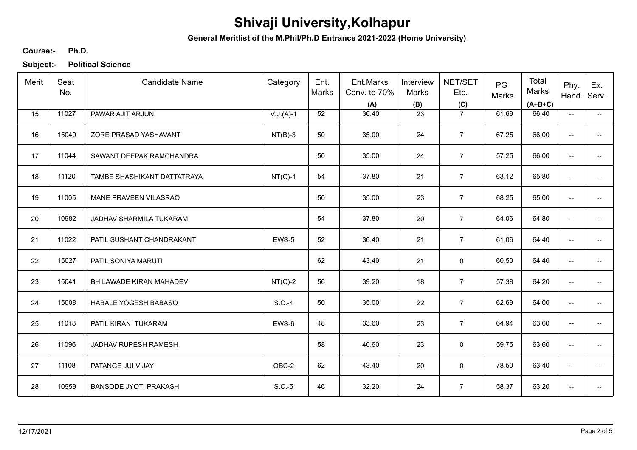**General Meritlist of the M.Phil/Ph.D Entrance 2021-2022 (Home University)**

### **Ph.D. Course:-**

| Merit | Seat<br>No. | <b>Candidate Name</b>        | Category    | Ent.<br>Marks | Ent.Marks<br>Conv. to 70%<br>(A) | Interview<br><b>Marks</b><br>(B) | NET/SET<br>Etc.<br>(C) | PG<br>Marks | Total<br>Marks<br>$(A+B+C)$ | Phy.<br>Hand.            | Ex.<br>Serv.             |
|-------|-------------|------------------------------|-------------|---------------|----------------------------------|----------------------------------|------------------------|-------------|-----------------------------|--------------------------|--------------------------|
| 15    | 11027       | PAWAR AJIT ARJUN             | $V.J.(A)-1$ | 52            | 36.40                            | 23                               | $\overline{7}$         | 61.69       | 66.40                       | $\overline{\phantom{a}}$ | $\overline{\phantom{a}}$ |
| 16    | 15040       | ZORE PRASAD YASHAVANT        | $NT(B)-3$   | 50            | 35.00                            | 24                               | $\overline{7}$         | 67.25       | 66.00                       | --                       |                          |
| 17    | 11044       | SAWANT DEEPAK RAMCHANDRA     |             | 50            | 35.00                            | 24                               | $\overline{7}$         | 57.25       | 66.00                       | --                       | --                       |
| 18    | 11120       | TAMBE SHASHIKANT DATTATRAYA  | $NT(C)-1$   | 54            | 37.80                            | 21                               | $\overline{7}$         | 63.12       | 65.80                       | $\overline{\phantom{a}}$ |                          |
| 19    | 11005       | MANE PRAVEEN VILASRAO        |             | 50            | 35.00                            | 23                               | $\overline{7}$         | 68.25       | 65.00                       | $\overline{\phantom{a}}$ | --                       |
| 20    | 10982       | JADHAV SHARMILA TUKARAM      |             | 54            | 37.80                            | 20                               | $\overline{7}$         | 64.06       | 64.80                       | $\overline{\phantom{a}}$ | $\overline{\phantom{a}}$ |
| 21    | 11022       | PATIL SUSHANT CHANDRAKANT    | EWS-5       | 52            | 36.40                            | 21                               | $\overline{7}$         | 61.06       | 64.40                       | $\overline{\phantom{a}}$ | $\overline{\phantom{a}}$ |
| 22    | 15027       | PATIL SONIYA MARUTI          |             | 62            | 43.40                            | 21                               | 0                      | 60.50       | 64.40                       | --                       |                          |
| 23    | 15041       | BHILAWADE KIRAN MAHADEV      | $NT(C)-2$   | 56            | 39.20                            | 18                               | $\overline{7}$         | 57.38       | 64.20                       | --                       |                          |
| 24    | 15008       | HABALE YOGESH BABASO         | $S.C.-4$    | 50            | 35.00                            | 22                               | $\overline{7}$         | 62.69       | 64.00                       | --                       |                          |
| 25    | 11018       | PATIL KIRAN TUKARAM          | EWS-6       | 48            | 33.60                            | 23                               | $\overline{7}$         | 64.94       | 63.60                       | $\overline{\phantom{a}}$ | $\overline{\phantom{a}}$ |
| 26    | 11096       | JADHAV RUPESH RAMESH         |             | 58            | 40.60                            | 23                               | 0                      | 59.75       | 63.60                       | $\overline{\phantom{a}}$ | $\overline{\phantom{a}}$ |
| 27    | 11108       | PATANGE JUI VIJAY            | OBC-2       | 62            | 43.40                            | 20                               | 0                      | 78.50       | 63.40                       | $\overline{\phantom{a}}$ | $\overline{\phantom{a}}$ |
| 28    | 10959       | <b>BANSODE JYOTI PRAKASH</b> | $S.C.-5$    | 46            | 32.20                            | 24                               | $\overline{7}$         | 58.37       | 63.20                       | $\overline{\phantom{a}}$ | --                       |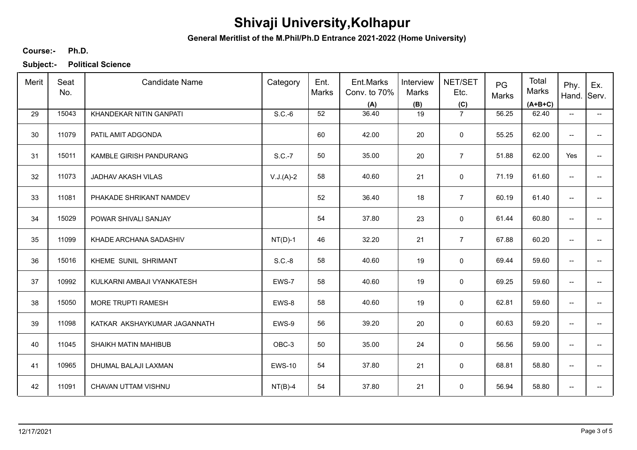**General Meritlist of the M.Phil/Ph.D Entrance 2021-2022 (Home University)**

### **Ph.D. Course:-**

| Merit | Seat<br>No. | <b>Candidate Name</b>        | Category      | Ent.<br>Marks | Ent.Marks<br>Conv. to 70%<br>(A) | Interview<br>Marks<br>(B) | NET/SET<br>Etc.<br>(C) | PG<br>Marks | Total<br>Marks<br>$(A+B+C)$ | Phy.<br>Hand.            | Ex.<br>Serv.             |
|-------|-------------|------------------------------|---------------|---------------|----------------------------------|---------------------------|------------------------|-------------|-----------------------------|--------------------------|--------------------------|
| 29    | 15043       | KHANDEKAR NITIN GANPATI      | $S.C.-6$      | 52            | 36.40                            | 19                        | $\overline{7}$         | 56.25       | 62.40                       | $\overline{\phantom{a}}$ | $\overline{\phantom{a}}$ |
| 30    | 11079       | PATIL AMIT ADGONDA           |               | 60            | 42.00                            | 20                        | $\mathbf 0$            | 55.25       | 62.00                       | $\overline{\phantom{a}}$ | $\qquad \qquad -$        |
| 31    | 15011       | KAMBLE GIRISH PANDURANG      | S.C.-7        | 50            | 35.00                            | 20                        | $\overline{7}$         | 51.88       | 62.00                       | Yes                      | $\overline{a}$           |
| 32    | 11073       | JADHAV AKASH VILAS           | $V.J.(A)-2$   | 58            | 40.60                            | 21                        | $\mathbf 0$            | 71.19       | 61.60                       | $\overline{\phantom{a}}$ | $\overline{\phantom{a}}$ |
| 33    | 11081       | PHAKADE SHRIKANT NAMDEV      |               | 52            | 36.40                            | 18                        | $\overline{7}$         | 60.19       | 61.40                       | $\overline{\phantom{a}}$ | --                       |
| 34    | 15029       | POWAR SHIVALI SANJAY         |               | 54            | 37.80                            | 23                        | $\mathbf 0$            | 61.44       | 60.80                       | $\overline{\phantom{a}}$ | $\overline{\phantom{a}}$ |
| 35    | 11099       | KHADE ARCHANA SADASHIV       | $NT(D)-1$     | 46            | 32.20                            | 21                        | $\overline{7}$         | 67.88       | 60.20                       | $\overline{\phantom{a}}$ |                          |
| 36    | 15016       | KHEME SUNIL SHRIMANT         | $S.C.-8$      | 58            | 40.60                            | 19                        | 0                      | 69.44       | 59.60                       | $\overline{\phantom{a}}$ |                          |
| 37    | 10992       | KULKARNI AMBAJI VYANKATESH   | EWS-7         | 58            | 40.60                            | 19                        | 0                      | 69.25       | 59.60                       | --                       |                          |
| 38    | 15050       | MORE TRUPTI RAMESH           | EWS-8         | 58            | 40.60                            | 19                        | $\mathbf 0$            | 62.81       | 59.60                       | $\overline{\phantom{a}}$ | $\qquad \qquad -$        |
| 39    | 11098       | KATKAR AKSHAYKUMAR JAGANNATH | EWS-9         | 56            | 39.20                            | 20                        | $\mathbf 0$            | 60.63       | 59.20                       | $\overline{\phantom{a}}$ | --                       |
| 40    | 11045       | SHAIKH MATIN MAHIBUB         | OBC-3         | 50            | 35.00                            | 24                        | 0                      | 56.56       | 59.00                       | $\overline{\phantom{a}}$ | $\overline{\phantom{a}}$ |
| 41    | 10965       | DHUMAL BALAJI LAXMAN         | <b>EWS-10</b> | 54            | 37.80                            | 21                        | 0                      | 68.81       | 58.80                       | --                       | $\overline{\phantom{a}}$ |
| 42    | 11091       | CHAVAN UTTAM VISHNU          | $NT(B)-4$     | 54            | 37.80                            | 21                        | 0                      | 56.94       | 58.80                       | --                       |                          |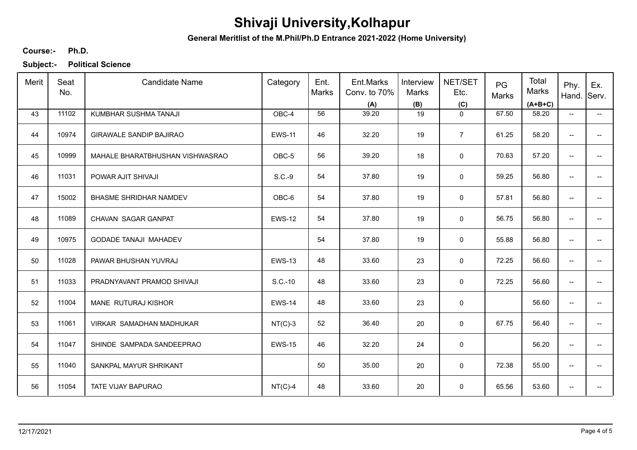**General Meritlist of the M.Phil/Ph.D Entrance 2021-2022 (Home University)**

#### **Ph.D. Course:-**

| Merit | Seat<br>No. | <b>Candidate Name</b>           | Category      | Ent.<br>Marks | Ent.Marks<br>Conv. to 70%<br>(A) | Interview<br>Marks<br>(B) | NET/SET<br>Etc.<br>(C) | PG<br>Marks | Total<br>Marks<br>$(A+B+C)$ | Phy.<br>Hand. Serv.      | Ex.                      |
|-------|-------------|---------------------------------|---------------|---------------|----------------------------------|---------------------------|------------------------|-------------|-----------------------------|--------------------------|--------------------------|
| 43    | 11102       | KUMBHAR SUSHMA TANAJI           | OBC-4         | 56            | 39.20                            | 19                        | $\mathbf 0$            | 67.50       | 58.20                       | $\overline{\phantom{a}}$ | $\overline{\phantom{a}}$ |
| 44    | 10974       | <b>GIRAWALE SANDIP BAJIRAO</b>  | <b>EWS-11</b> | 46            | 32.20                            | 19                        | $\overline{7}$         | 61.25       | 58.20                       | $\overline{\phantom{a}}$ |                          |
| 45    | 10999       | MAHALE BHARATBHUSHAN VISHWASRAO | OBC-5         | 56            | 39.20                            | 18                        | $\mathbf 0$            | 70.63       | 57.20                       | $\overline{\phantom{a}}$ | $- -$                    |
| 46    | 11031       | POWAR AJIT SHIVAJI              | $S.C.-9$      | 54            | 37.80                            | 19                        | $\mathbf 0$            | 59.25       | 56.80                       | $\overline{\phantom{a}}$ | --                       |
| 47    | 15002       | <b>BHASME SHRIDHAR NAMDEV</b>   | OBC-6         | 54            | 37.80                            | 19                        | $\mathbf 0$            | 57.81       | 56.80                       | $\overline{\phantom{a}}$ | --                       |
| 48    | 11089       | CHAVAN SAGAR GANPAT             | <b>EWS-12</b> | 54            | 37.80                            | 19                        | 0                      | 56.75       | 56.80                       | $\overline{\phantom{a}}$ | --                       |
| 49    | 10975       | <b>GODADE TANAJI MAHADEV</b>    |               | 54            | 37.80                            | 19                        | 0                      | 55.88       | 56.80                       | $\overline{\phantom{a}}$ | --                       |
| 50    | 11028       | PAWAR BHUSHAN YUVRAJ            | <b>EWS-13</b> | 48            | 33.60                            | 23                        | 0                      | 72.25       | 56.60                       | $\overline{\phantom{a}}$ | --                       |
| 51    | 11033       | PRADNYAVANT PRAMOD SHIVAJI      | S.C.-10       | 48            | 33.60                            | 23                        | $\mathbf 0$            | 72.25       | 56.60                       | $\overline{\phantom{a}}$ |                          |
| 52    | 11004       | MANE RUTURAJ KISHOR             | <b>EWS-14</b> | 48            | 33.60                            | 23                        | $\pmb{0}$              |             | 56.60                       | $\overline{\phantom{m}}$ |                          |
| 53    | 11061       | VIRKAR SAMADHAN MADHUKAR        | $NT(C)-3$     | 52            | 36.40                            | 20                        | $\mathbf 0$            | 67.75       | 56.40                       | $\overline{\phantom{a}}$ | --                       |
| 54    | 11047       | SHINDE SAMPADA SANDEEPRAO       | <b>EWS-15</b> | 46            | 32.20                            | 24                        | 0                      |             | 56.20                       | $\overline{\phantom{a}}$ | --                       |
| 55    | 11040       | SANKPAL MAYUR SHRIKANT          |               | 50            | 35.00                            | 20                        | 0                      | 72.38       | 55.00                       | $\overline{\phantom{a}}$ | ÷                        |
| 56    | 11054       | TATE VIJAY BAPURAO              | $NT(C)-4$     | 48            | 33.60                            | 20                        | 0                      | 65.56       | 53.60                       | --                       | --                       |